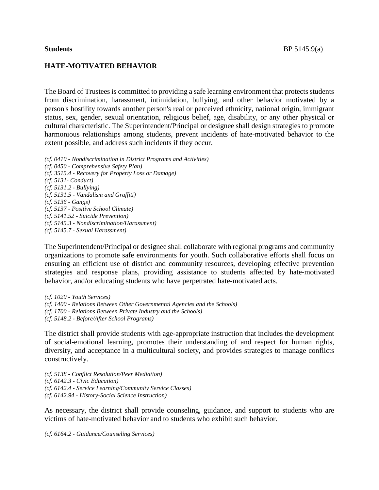# **HATE-MOTIVATED BEHAVIOR**

The Board of Trustees is committed to providing a safe learning environment that protects students from discrimination, harassment, intimidation, bullying, and other behavior motivated by a person's hostility towards another person's real or perceived ethnicity, national origin, immigrant status, sex, gender, sexual orientation, religious belief, age, disability, or any other physical or cultural characteristic. The Superintendent/Principal or designee shall design strategies to promote harmonious relationships among students, prevent incidents of hate-motivated behavior to the extent possible, and address such incidents if they occur.

*(cf. 0410 - Nondiscrimination in District Programs and Activities) (cf. 0450 - Comprehensive Safety Plan) (cf. 3515.4 - Recovery for Property Loss or Damage) (cf. 5131- Conduct) (cf. 5131.2 - Bullying) (cf. 5131.5 - Vandalism and Graffiti) (cf. 5136 - Gangs) (cf. 5137 - Positive School Climate) (cf. 5141.52 - Suicide Prevention) (cf. 5145.3 - Nondiscrimination/Harassment) (cf. 5145.7 - Sexual Harassment)*

The Superintendent/Principal or designee shall collaborate with regional programs and community organizations to promote safe environments for youth. Such collaborative efforts shall focus on ensuring an efficient use of district and community resources, developing effective prevention strategies and response plans, providing assistance to students affected by hate-motivated behavior, and/or educating students who have perpetrated hate-motivated acts.

*(cf. 1020 - Youth Services) (cf. 1400 - Relations Between Other Governmental Agencies and the Schools) (cf. 1700 - Relations Between Private Industry and the Schools) (cf. 5148.2 - Before/After School Programs)*

The district shall provide students with age-appropriate instruction that includes the development of social-emotional learning, promotes their understanding of and respect for human rights, diversity, and acceptance in a multicultural society, and provides strategies to manage conflicts constructively.

*(cf. 5138 - Conflict Resolution/Peer Mediation) (cf. 6142.3 - Civic Education) (cf. 6142.4 - Service Learning/Community Service Classes) (cf. 6142.94 - History-Social Science Instruction)*

As necessary, the district shall provide counseling, guidance, and support to students who are victims of hate-motivated behavior and to students who exhibit such behavior.

*(cf. 6164.2 - Guidance/Counseling Services)*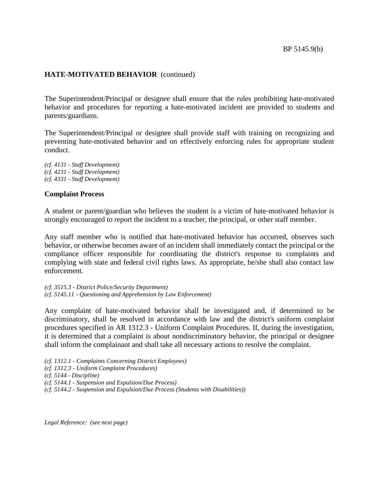# **HATE-MOTIVATED BEHAVIOR** (continued)

The Superintendent/Principal or designee shall ensure that the rules prohibiting hate-motivated behavior and procedures for reporting a hate-motivated incident are provided to students and parents/guardians.

The Superintendent/Principal or designee shall provide staff with training on recognizing and preventing hate-motivated behavior and on effectively enforcing rules for appropriate student conduct.

*(cf. 4131 - Staff Development) (cf. 4231 - Staff Development) (cf. 4331 - Staff Development)*

## **Complaint Process**

A student or parent/guardian who believes the student is a victim of hate-motivated behavior is strongly encouraged to report the incident to a teacher, the principal, or other staff member.

Any staff member who is notified that hate-motivated behavior has occurred, observes such behavior, or otherwise becomes aware of an incident shall immediately contact the principal or the compliance officer responsible for coordinating the district's response to complaints and complying with state and federal civil rights laws. As appropriate, he/she shall also contact law enforcement.

*(cf. 3515.3 - District Police/Security Department) (cf. 5145.11 - Questioning and Apprehension by Law Enforcement)*

Any complaint of hate-motivated behavior shall be investigated and, if determined to be discriminatory, shall be resolved in accordance with law and the district's uniform complaint procedures specified in AR 1312.3 - Uniform Complaint Procedures. If, during the investigation, it is determined that a complaint is about nondiscriminatory behavior, the principal or designee shall inform the complainant and shall take all necessary actions to resolve the complaint.

*(cf. 1312.1 - Complaints Concerning District Employees) (cf. 1312.3 - Uniform Complaint Procedures) (cf. 5144 - Discipline) (cf. 5144.1 - Suspension and Expulsion/Due Process) (cf. 5144.2 - Suspension and Expulsion/Due Process (Students with Disabilities))*

*Legal Reference: (see next page)*